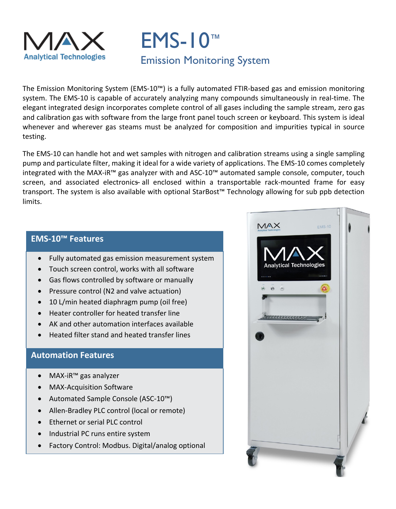

# EMS-10™ Emission Monitoring System

The Emission Monitoring System (EMS-10™) is a fully automated FTIR-based gas and emission monitoring system. The EMS-10 is capable of accurately analyzing many compounds simultaneously in real-time. The elegant integrated design incorporates complete control of all gases including the sample stream, zero gas and calibration gas with software from the large front panel touch screen or keyboard. This system is ideal whenever and wherever gas steams must be analyzed for composition and impurities typical in source testing.

The EMS-10 can handle hot and wet samples with nitrogen and calibration streams using a single sampling pump and particulate filter, making it ideal for a wide variety of applications. The EMS-10 comes completely integrated with the MAX-iR™ gas analyzer with and ASC-10™ automated sample console, computer, touch screen, and associated electronics all enclosed within a transportable rack-mounted frame for easy transport. The system is also available with optional StarBost™ Technology allowing for sub ppb detection limits.

#### **EMS-10™ Features**

- Fully automated gas emission measurement system
- Touch screen control, works with all software
- Gas flows controlled by software or manually
- Pressure control (N2 and valve actuation)
- 10 L/min heated diaphragm pump (oil free)
- Heater controller for heated transfer line
- AK and other automation interfaces available
- Heated filter stand and heated transfer lines

## **Automation Features**

- MAX-iR™ gas analyzer
- MAX-Acquisition Software
- Automated Sample Console (ASC-10™)
- Allen-Bradley PLC control (local or remote)
- Ethernet or serial PLC control
- Industrial PC runs entire system
- Factory Control: Modbus. Digital/analog optional